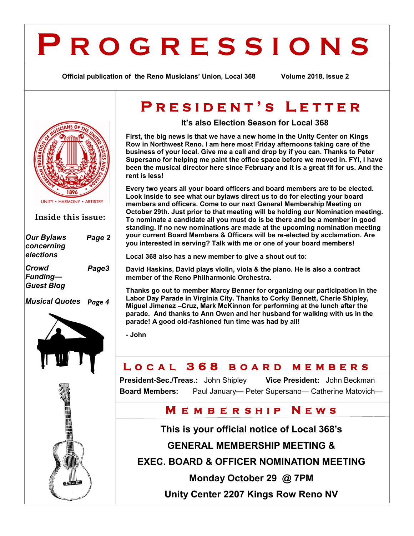## **P R O G R E S S I O N S**

**Official publication of the Reno Musicians' Union, Local 368 Volume 2018, Issue 2**



**Inside this issue:**

| <b>Our Bylaws</b><br>concerning<br>elections  | Page 2 |
|-----------------------------------------------|--------|
| Crowd<br><b>Funding-</b><br><b>Guest Blog</b> | Page3  |
|                                               |        |



## **P R E S I D E N T ' S L E T T E R**

**It's also Election Season for Local 368**

**First, the big news is that we have a new home in the Unity Center on Kings Row in Northwest Reno. I am here most Friday afternoons taking care of the business of your local. Give me a call and drop by if you can. Thanks to Peter Supersano for helping me paint the office space before we moved in. FYI, I have been the musical director here since February and it is a great fit for us. And the rent is less!**

**Every two years all your board officers and board members are to be elected. Look inside to see what our bylaws direct us to do for electing your board members and officers. Come to our next General Membership Meeting on October 29th. Just prior to that meeting will be holding our Nomination meeting. To nominate a candidate all you must do is be there and be a member in good standing. If no new nominations are made at the upcoming nomination meeting your current Board Members & Officers will be re-elected by acclamation. Are you interested in serving? Talk with me or one of your board members!**

**Local 368 also has a new member to give a shout out to:**

**David Haskins, David plays violin, viola & the piano. He is also a contract member of the Reno Philharmonic Orchestra.**

**Thanks go out to member Marcy Benner for organizing our participation in the Labor Day Parade in Virginia City. Thanks to Corky Bennett, Cherie Shipley, Miguel Jimenez –Cruz, Mark McKinnon for performing at the lunch after the parade. And thanks to Ann Owen and her husband for walking with us in the parade! A good old-fashioned fun time was had by all!**

**- John**

### **L O C A L 3 6 8 B O A R D M E M B E R S**

**President-Sec./Treas.:** John Shipley **Vice President:** John Beckman **Board Members:** Paul January**—** Peter Supersano— Catherine Matovich—

#### **M E M B E R S H I P N E W S**

**This is your official notice of Local 368's** 

**GENERAL MEMBERSHIP MEETING &** 

**EXEC. BOARD & OFFICER NOMINATION MEETING** 

**Monday October 29 @ 7PM**

**Unity Center 2207 Kings Row Reno NV**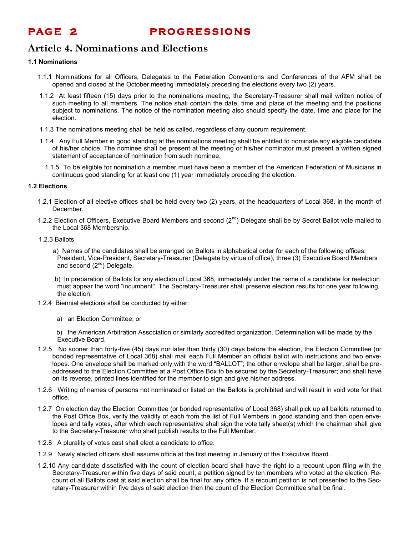**PAGE 2 PROGRESSIONS** 

#### **Article 4. Nominations and Elections**

#### **1.1 Nominations**

- 1.1.1 Nominations for all Officers, Delegates to the Federation Conventions and Conferences of the AFM shall be opened and closed at the October meeting immediately preceding the elections every two (2) years.
- 1.1.2 At least fifteen (15) days prior to the nominations meeting, the Secretary-Treasurer shall mail written notice of such meeting to all members. The notice shall contain the date, time and place of the meeting and the positions subject to nominations. The notice of the nomination meeting also should specify the date, time and place for the election.
- 1.1.3 The nominations meeting shall be held as called, regardless of any quorum requirement.
- 1.1.4 Any Full Member in good standing at the nominations meeting shall be entitled to nominate any eligible candidate of his/her choice. The nominee shall be present at the meeting or his/her nominator must present a written signed statement of acceptance of nomination from such nominee.
	- 1.1.5 To be eligible for nomination a member must have been a member of the American Federation of Musicians in continuous good standing for at least one (1) year immediately preceding the election.

#### **1.2 Elections**

- 1.2.1 Election of all elective offices shall be held every two (2) years, at the headquarters of Local 368, in the month of December.
- 1.2.2 Election of Officers, Executive Board Members and second  $(2^{nd})$  Delegate shall be by Secret Ballot vote mailed to the Local 368 Membership.

#### 1.2.3 Ballots

- a) Names of the candidates shall be arranged on Ballots in alphabetical order for each of the following offices: President, Vice-President, Secretary-Treasurer (Delegate by virtue of office), three (3) Executive Board Members and second  $(2^{nd})$  Delegate.
- b) In preparation of Ballots for any election of Local 368, immediately under the name of a candidate for reelection must appear the word "incumbent". The Secretary-Treasurer shall preserve election results for one year following the election.
- 1.2.4 Biennial elections shall be conducted by either:
	- a) an Election Committee; or
	- b) the American Arbitration Association or similarly accredited organization. Determination will be made by the Executive Board.
- 1.2.5 No sooner than forty-five (45) days nor later than thirty (30) days before the election, the Election Committee (or bonded representative of Local 368) shall mail each Full Member an official ballot with instructions and two envelopes. One envelope shall be marked only with the word "BALLOT"; the other envelope shall be larger, shall be preaddressed to the Election Committee at a Post Office Box to be secured by the Secretary-Treasurer; and shall have on its reverse, printed lines identified for the member to sign and give his/her address.
- 1.2.6 Writing of names of persons not nominated or listed on the Ballots is prohibited and will result in void vote for that office.
- 1.2.7 On election day the Election Committee (or bonded representative of Local 368) shall pick up all ballots returned to the Post Office Box, verify the validity of each from the list of Full Members in good standing and then open envelopes and tally votes, after which each representative shall sign the vote tally sheet(s) which the chairman shall give to the Secretary-Treasurer who shall publish results to the Full Member.
- 1.2.8 A plurality of votes cast shall elect a candidate to office.
- 1.2.9 Newly elected officers shall assume office at the first meeting in January of the Executive Board.
- 1.2.10 Any candidate dissatisfied with the count of election board shall have the right to a recount upon filing with the Secretary-Treasurer within five days of said count, a petition signed by ten members who voted at the election. Recount of all Ballots cast at said election shall be final for any office. If a recount petition is not presented to the Secretary-Treasurer within five days of said election then the count of the Election Committee shall be final.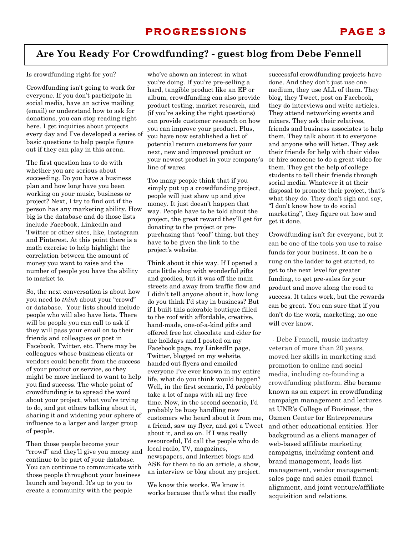#### **Are You Ready For Crowdfunding? - guest blog from Debe Fennell**

#### Is crowdfunding right for you?

Crowdfunding isn't going to work for everyone. If you don't participate in social media, have an active mailing (email) or understand how to ask for donations, you can stop reading right here. I get inquiries about projects every day and I've developed a series of basic questions to help people figure out if they can play in this arena.

The first question has to do with whether you are serious about succeeding. Do you have a business plan and how long have you been working on your music, business or project? Next, I try to find out if the person has any marketing ability. How big is the database and do those lists include Facebook, LinkedIn and Twitter or other sites, like, Instagram and Pinterest. At this point there is a math exercise to help highlight the correlation between the amount of money you want to raise and the number of people you have the ability to market to.

So, the next conversation is about how you need to *think* about your "crowd" or database. Your lists should include people who will also have lists. There will be people you can call to ask if they will pass your email on to their friends and colleagues or post in Facebook, Twitter, etc. There may be colleagues whose business clients or vendors could benefit from the success of your product or service, so they might be more inclined to want to help you find success. The whole point of crowdfunding is to spread the word about your project, what you're trying to do, and get others talking about it, sharing it and widening your sphere of influence to a larger and larger group of people.

Then those people become your "crowd" and they'll give you money and continue to be part of your database. You can continue to communicate with those people throughout your business launch and beyond. It's up to you to create a community with the people

who've shown an interest in what you're doing. If you're pre-selling a hard, tangible product like an EP or album, crowdfunding can also provide product testing, market research, and (if you're asking the right questions) can provide customer research on how you can improve your product. Plus, you have now established a list of potential return customers for your next, new and improved product or your newest product in your company's line of wares.

Too many people think that if you simply put up a crowdfunding project, people will just show up and give money. It just doesn't happen that way. People have to be told about the project, the great reward they'll get for donating to the project or prepurchasing that "cool" thing, but they have to be given the link to the project's website.

Think about it this way. If I opened a cute little shop with wonderful gifts and goodies, but it was off the main streets and away from traffic flow and I didn't tell anyone about it, how long do you think I'd stay in business? But if I built this adorable boutique filled to the roof with affordable, creative, hand-made, one-of-a-kind gifts and offered free hot chocolate and cider for the holidays and I posted on my Facebook page, my LinkedIn page, Twitter, blogged on my website, handed out flyers and emailed everyone I've ever known in my entire life, what do you think would happen? Well, in the first scenario, I'd probably take a lot of naps with all my free time. Now, in the second scenario, I'd probably be busy handling new customers who heard about it from me, a friend, saw my flyer, and got a Tweet about it, and so on. If I was really resourceful, I'd call the people who do local radio, TV, magazines, newspapers, and Internet blogs and ASK for them to do an article, a show, an interview or blog about my project.

We know this works. We know it works because that's what the really

successful crowdfunding projects have done. And they don't just use one medium, they use ALL of them. They blog, they Tweet, post on Facebook, they do interviews and write articles. They attend networking events and mixers. They ask their relatives, friends and business associates to help them. They talk about it to everyone and anyone who will listen. They ask their friends for help with their video or hire someone to do a great video for them. They get the help of college students to tell their friends through social media. Whatever it at their disposal to promote their project, that's what they do. They don't sigh and say, "I don't know how to do social marketing", they figure out how and get it done.

Crowdfunding isn't for everyone, but it can be one of the tools you use to raise funds for your business. It can be a rung on the ladder to get started, to get to the next level for greater funding, to get pre-sales for your product and move along the road to success. It takes work, but the rewards can be great. You can sure that if you don't do the work, marketing, no one will ever know.

 - Debe Fennell, music industry veteran of more than 20 years, moved her skills in marketing and promotion to online and social media, including co-founding a crowdfunding platform. She became known as an expert in crowdfunding campaign management and lectures at UNR's College of Business, the Ozmen Center for Entrepreneurs and other educational entities. Her background as a client manager of web-based affiliate marketing campaigns, including content and brand management, leads list management, vendor management; sales page and sales email funnel alignment, and joint venture/affiliate acquisition and relations.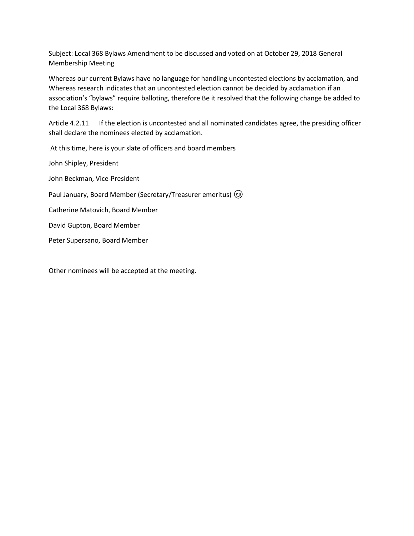Subject: Local 368 Bylaws Amendment to be discussed and voted on at October 29, 2018 General Membership Meeting

Whereas our current Bylaws have no language for handling uncontested elections by acclamation, and Whereas research indicates that an uncontested election cannot be decided by acclamation if an association's "bylaws" require balloting, therefore Be it resolved that the following change be added to the Local 368 Bylaws:

Article 4.2.11 If the election is uncontested and all nominated candidates agree, the presiding officer shall declare the nominees elected by acclamation.

At this time, here is your slate of officers and board members

John Shipley, President

John Beckman, Vice-President

Paul January, Board Member (Secretary/Treasurer emeritus)  $\circledS$ 

Catherine Matovich, Board Member

David Gupton, Board Member

Peter Supersano, Board Member

Other nominees will be accepted at the meeting.